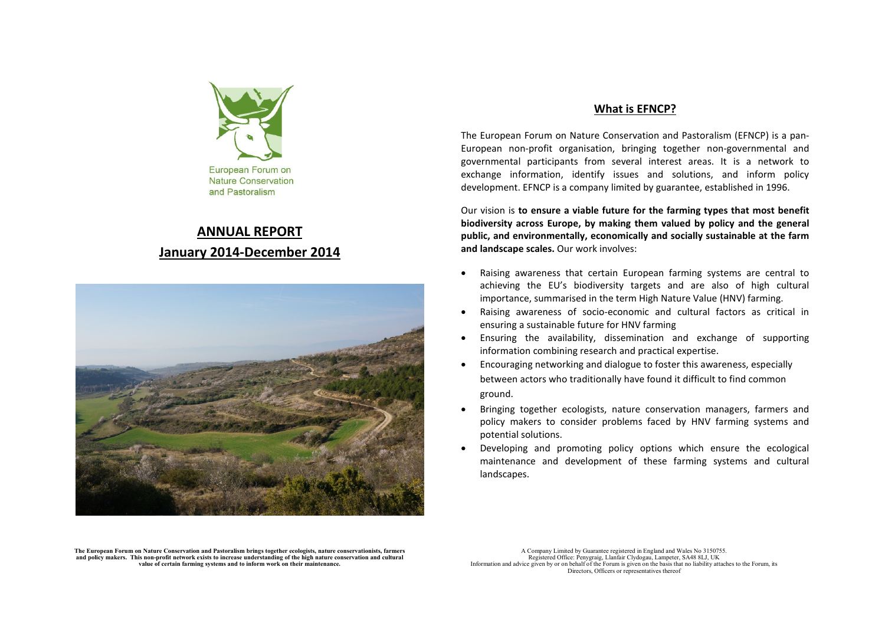

# **ANNUAL REPORTJanuary 2014-December 2014**



## **What is EFNCP?**

The European Forum on Nature Conservation and Pastoralism (EFNCP) is a pan-European non-profit organisation, bringing together non-governmental and governmental participants from several interest areas. It is a network to exchange information, identify issues and solutions, and inform policy development. EFNCP is a company limited by guarantee, established in 1996.

Our vision is **to ensure a viable future for the farming types that most benefit biodiversity across Europe, by making them valued by policy and the general public, and environmentally, economically and socially sustainable at the farm and landscape scales.** Our work involves:

- • Raising awareness that certain European farming systems are central to achieving the EU's biodiversity targets and are also of high cultural importance, summarised in the term High Nature Value (HNV) farming.
- Raising awareness of socio-economic and cultural factors as critical in ensuring a sustainable future for HNV farming
- Ensuring the availability, dissemination and exchange of supporting information combining research and practical expertise.
- • Encouraging networking and dialogue to foster this awareness, especially between actors who traditionally have found it difficult to find common ground.
- • Bringing together ecologists, nature conservation managers, farmers and policy makers to consider problems faced by HNV farming systems and potential solutions.
- • Developing and promoting policy options which ensure the ecological maintenance and development of these farming systems and cultural landscapes.

The European Forum on Nature Conservation and Pastoralism brings together ecologists, nature conservationists, farmers<br>and policy makers. This non-profit network exists to increase understanding of the high nature conserva **value of certain farming systems and to inform work on their maintenance.** 

A Company Limited by Guarantee registered in England and Wales No 3150755. Registered Office: Penygraig, Llanfair Clydogau, Lampeter, SA48 8LJ, UK Information and advice given by or on behalf of the Forum is given on the basis that no liability attaches to the Forum, its Directors, Officers or representatives thereof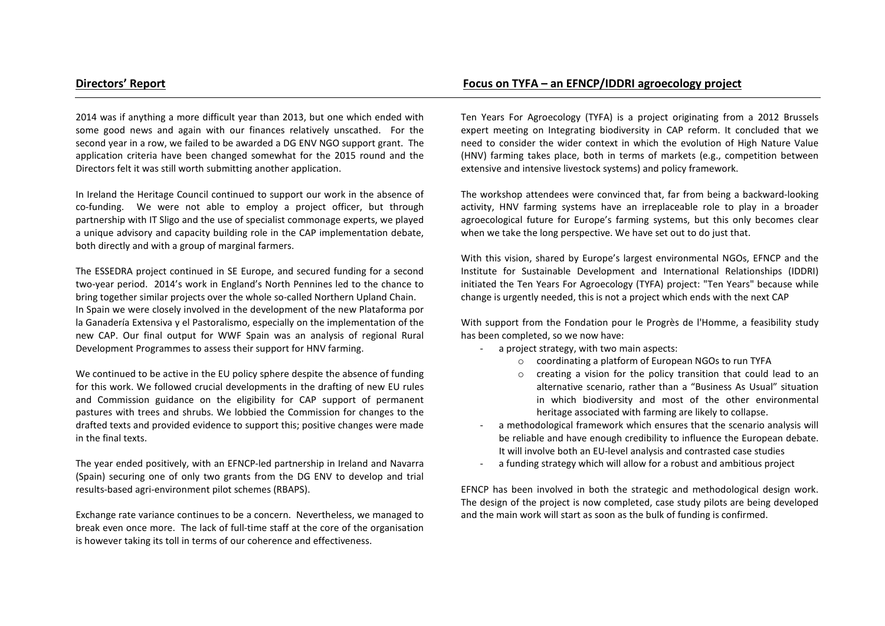2014 was if anything a more difficult year than 2013, but one which ended with some good news and again with our finances relatively unscathed. For the second year in a row, we failed to be awarded a DG ENV NGO support grant. The application criteria have been changed somewhat for the 2015 round and the Directors felt it was still worth submitting another application.

In Ireland the Heritage Council continued to support our work in the absence of co-funding. We were not able to employ a project officer, but through partnership with IT Sligo and the use of specialist commonage experts, we played a unique advisory and capacity building role in the CAP implementation debate, both directly and with a group of marginal farmers.

The ESSEDRA project continued in SE Europe, and secured funding for a second two-year period. 2014's work in England's North Pennines led to the chance to bring together similar projects over the whole so-called Northern Upland Chain. In Spain we were closely involved in the development of the new Plataforma por la Ganadería Extensiva y el Pastoralismo, especially on the implementation of the new CAP. Our final output for WWF Spain was an analysis of regional Rural Development Programmes to assess their support for HNV farming.

We continued to be active in the EU policy sphere despite the absence of funding for this work. We followed crucial developments in the drafting of new EU rules and Commission guidance on the eligibility for CAP support of permanent pastures with trees and shrubs. We lobbied the Commission for changes to the drafted texts and provided evidence to support this; positive changes were made in the final texts.

The year ended positively, with an EFNCP-led partnership in Ireland and Navarra (Spain) securing one of only two grants from the DG ENV to develop and trial results-based agri-environment pilot schemes (RBAPS).

Exchange rate variance continues to be a concern. Nevertheless, we managed to break even once more. The lack of full-time staff at the core of the organisation is however taking its toll in terms of our coherence and effectiveness.

# **Directors' Report Focus on TYFA – an EFNCP/IDDRI agroecology project**

Ten Years For Agroecology (TYFA) is a project originating from a 2012 Brussels expert meeting on Integrating biodiversity in CAP reform. It concluded that we need to consider the wider context in which the evolution of High Nature Value (HNV) farming takes place, both in terms of markets (e.g., competition between extensive and intensive livestock systems) and policy framework.

The workshop attendees were convinced that, far from being a backward-looking activity, HNV farming systems have an irreplaceable role to play in a broader agroecological future for Europe's farming systems, but this only becomes clear when we take the long perspective. We have set out to do just that.

With this vision, shared by Europe's largest environmental NGOs, EFNCP and the Institute for Sustainable Development and International Relationships (IDDRI) initiated the Ten Years For Agroecology (TYFA) project: "Ten Years" because while change is urgently needed, this is not a project which ends with the next CAP

With support from the Fondation pour le Progrès de l'Homme, a feasibility study has been completed, so we now have:

- a project strategy, with two main aspects:
	- o coordinating a platform of European NGOs to run TYFA
	- o creating a vision for the policy transition that could lead to an alternative scenario, rather than a "Business As Usual" situation in which biodiversity and most of the other environmental heritage associated with farming are likely to collapse.
- a methodological framework which ensures that the scenario analysis will be reliable and have enough credibility to influence the European debate. It will involve both an EU-level analysis and contrasted case studies -
- a funding strategy which will allow for a robust and ambitious project

EFNCP has been involved in both the strategic and methodological design work. The design of the project is now completed, case study pilots are being developed and the main work will start as soon as the bulk of funding is confirmed.